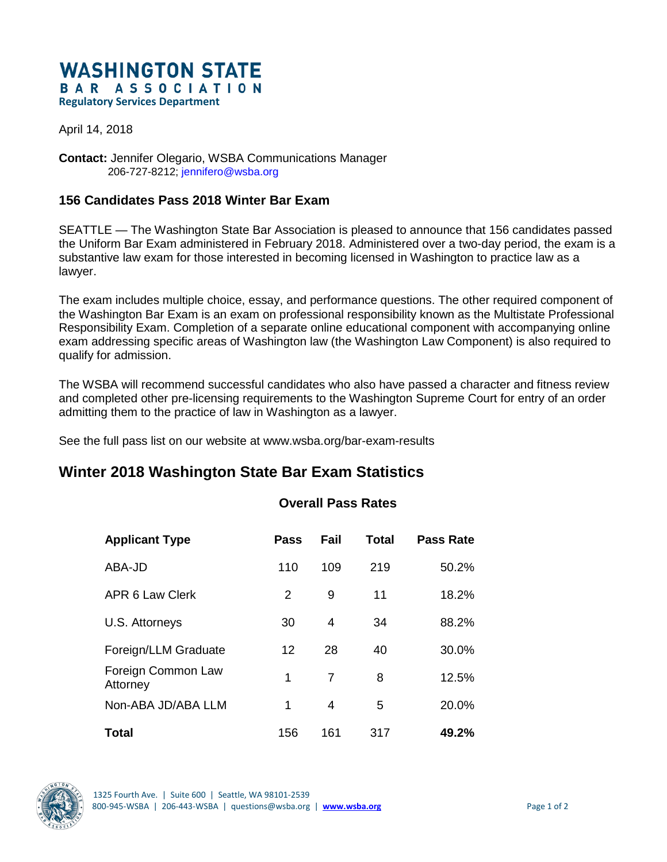# **WASHINGTON STATE** BAR ASSOCIATION **Regulatory Services Department**

April 14, 2018

#### **Contact:** Jennifer Olegario, WSBA Communications Manager 206-727-8212; [jennifero@wsba.org](mailto:jennifero@wsba.org)

### **156 Candidates Pass 2018 Winter Bar Exam**

SEATTLE — The Washington State Bar Association is pleased to announce that 156 candidates passed the Uniform Bar Exam administered in February 2018. Administered over a two-day period, the exam is a substantive law exam for those interested in becoming licensed in Washington to practice law as a lawyer.

The exam includes multiple choice, essay, and performance questions. The other required component of the Washington Bar Exam is an exam on professional responsibility known as the Multistate Professional Responsibility Exam. Completion of a separate online educational component with accompanying online exam addressing specific areas of Washington law (the Washington Law Component) is also required to qualify for admission.

The WSBA will recommend successful candidates who also have passed a character and fitness review and completed other pre-licensing requirements to the Washington Supreme Court for entry of an order admitting them to the practice of law in Washington as a lawyer.

See the full pass list on our website at www.wsba.org/bar-exam-results

# **Winter 2018 Washington State Bar Exam Statistics**

#### **Overall Pass Rates**

| <b>Applicant Type</b>          | Pass | Fail | Total | Pass Rate |
|--------------------------------|------|------|-------|-----------|
| ABA-JD                         | 110  | 109  | 219   | 50.2%     |
| APR 6 Law Clerk                | 2    | 9    | 11    | 18.2%     |
| U.S. Attorneys                 | 30   | 4    | 34    | 88.2%     |
| Foreign/LLM Graduate           | 12   | 28   | 40    | 30.0%     |
| Foreign Common Law<br>Attorney | 1    | 7    | 8     | 12.5%     |
| Non-ABA JD/ABA LLM             | 1    | 4    | 5     | 20.0%     |
| Total                          | 156  | 161  | 317   | 49.2%     |